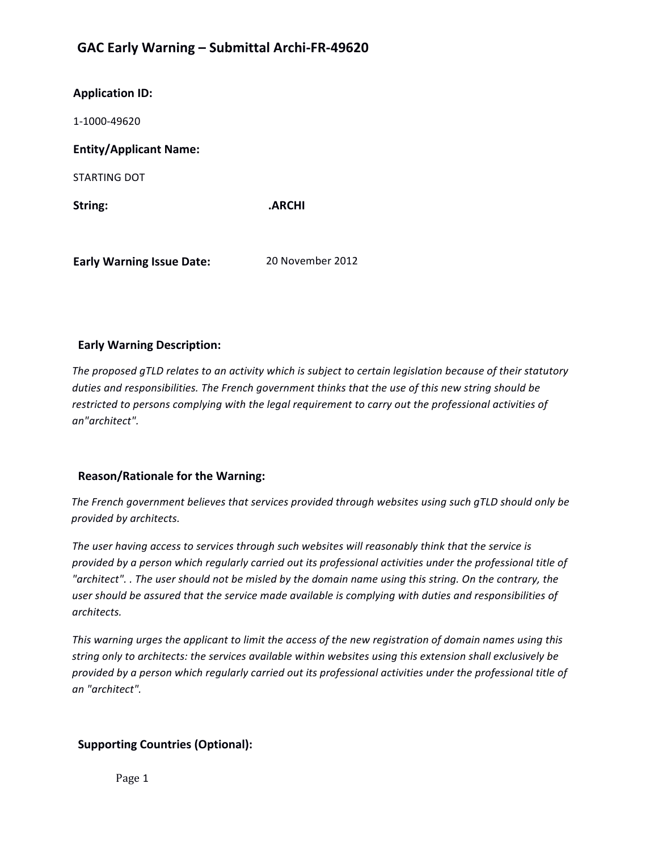## **GAC Early Warning – Submittal Archi-FR-49620**

| <b>Application ID:</b>        |        |
|-------------------------------|--------|
| 1-1000-49620                  |        |
| <b>Entity/Applicant Name:</b> |        |
| STARTING DOT                  |        |
| String:                       | .ARCHI |
|                               |        |

**Early Warning Issue Date:** 20 November 2012

## **Early Warning Description:**

The proposed qTLD relates to an activity which is subject to certain legislation because of their statutory duties and responsibilities. The French government thinks that the use of this new string should be restricted to persons complying with the legal requirement to carry out the professional activities of *an"architect".* 

## **Reason/Rationale for the Warning:**

The French government believes that services provided through websites using such gTLD should only be *provided by architects.* 

The user having access to services through such websites will reasonably think that the service is *provided by a person which regularly carried out its professional activities under the professional title of* "architect". . The user should not be misled by the domain name using this string. On the contrary, the user should be assured that the service made available is complying with duties and responsibilities of *architects.*

This warning urges the applicant to limit the access of the new registration of domain names using this string only to architects: the services available within websites using this extension shall exclusively be provided by a person which regularly carried out its professional activities under the professional title of *an "architect".* 

## **Supporting Countries (Optional):**

Page 1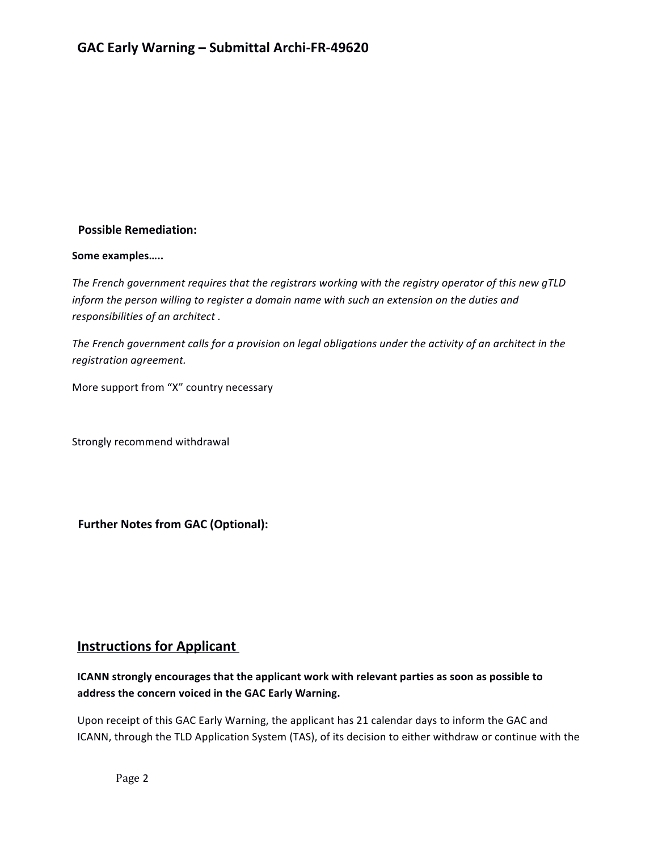## **Possible Remediation:**

#### Some examples.....

The French government requires that the registrars working with the registry operator of this new gTLD *inform* the person willing to register a domain name with such an extension on the duties and responsibilities of an architect.

The French government calls for a provision on legal obligations under the activity of an architect in the *registration agreement.*

More support from "X" country necessary

Strongly recommend withdrawal

**Further Notes from GAC (Optional):** 

## **Instructions for Applicant**

## **ICANN** strongly encourages that the applicant work with relevant parties as soon as possible to address the concern voiced in the GAC Early Warning.

Upon receipt of this GAC Early Warning, the applicant has 21 calendar days to inform the GAC and ICANN, through the TLD Application System (TAS), of its decision to either withdraw or continue with the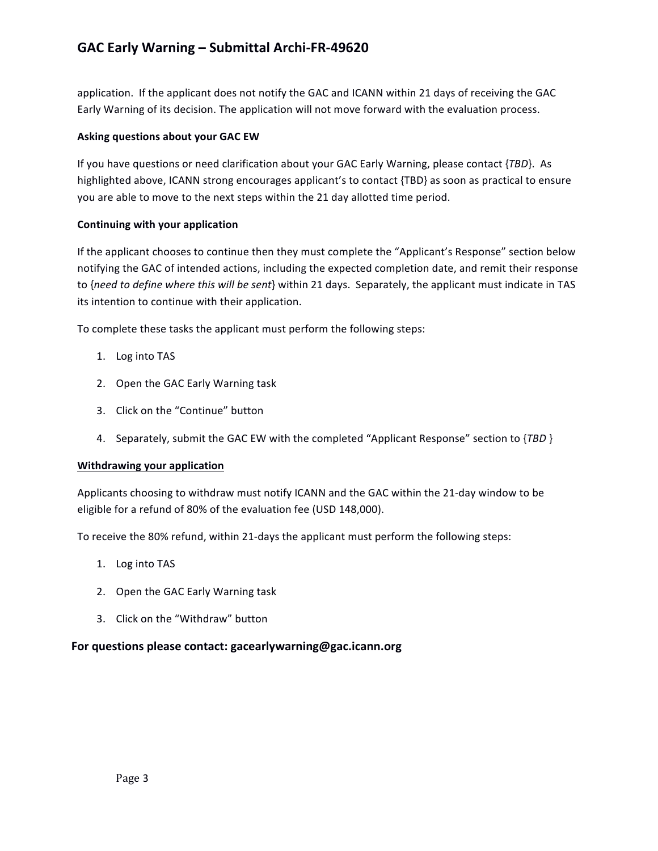## **GAC Early Warning – Submittal Archi-FR-49620**

application. If the applicant does not notify the GAC and ICANN within 21 days of receiving the GAC Early Warning of its decision. The application will not move forward with the evaluation process.

#### **Asking questions about your GAC EW**

If you have questions or need clarification about your GAC Early Warning, please contact {*TBD*}. As highlighted above, ICANN strong encourages applicant's to contact {TBD} as soon as practical to ensure you are able to move to the next steps within the 21 day allotted time period.

### **Continuing with your application**

If the applicant chooses to continue then they must complete the "Applicant's Response" section below notifying the GAC of intended actions, including the expected completion date, and remit their response to {need to define where this will be sent} within 21 days. Separately, the applicant must indicate in TAS its intention to continue with their application.

To complete these tasks the applicant must perform the following steps:

- 1. Log into TAS
- 2. Open the GAC Early Warning task
- 3. Click on the "Continue" button
- 4. Separately, submit the GAC EW with the completed "Applicant Response" section to {TBD }

#### **Withdrawing your application**

Applicants choosing to withdraw must notify ICANN and the GAC within the 21-day window to be eligible for a refund of 80% of the evaluation fee (USD 148,000).

To receive the 80% refund, within 21-days the applicant must perform the following steps:

- 1. Log into TAS
- 2. Open the GAC Early Warning task
- 3. Click on the "Withdraw" button

## For questions please contact: gacearlywarning@gac.icann.org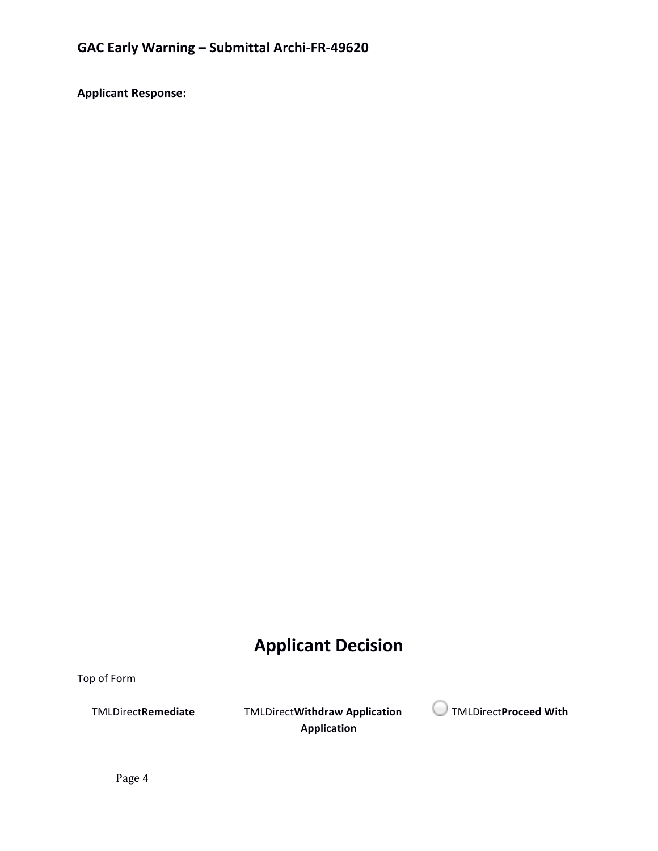**Applicant Response:**

# **Applicant Decision**

Top of Form

**Application**



Page 4